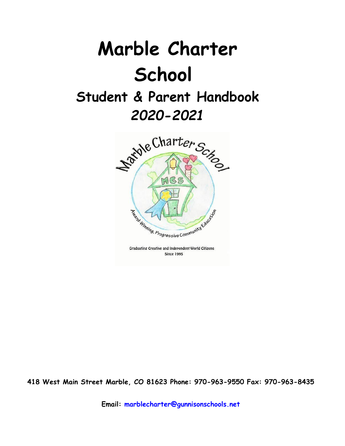# **Marble Charter School Student & Parent Handbook**

## *2020-2021*



Graduating Creative and Independent World Citizens **Since 1995** 

**418 West Main Street Marble, CO 81623 Phone: 970-963-9550 Fax: 970-963-8435**

**Email: marblecharter@gunnisonschools.net**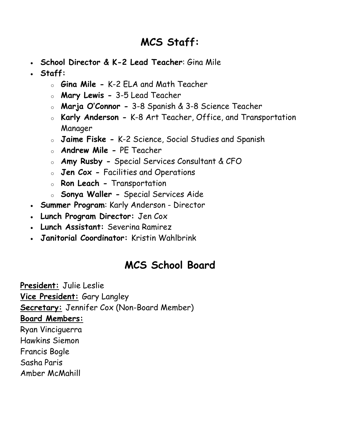### **MCS Staff:**

- **School Director & K-2 Lead Teacher**: Gina Mile
- **Staff:**
	- o **Gina Mile -** K-2 ELA and Math Teacher
	- o **Mary Lewis -** 3-5 Lead Teacher
	- o **Marja O'Connor -** 3-8 Spanish & 3-8 Science Teacher
	- o **Karly Anderson -** K-8 Art Teacher, Office, and Transportation Manager
	- o **Jaime Fiske -** K-2 Science, Social Studies and Spanish
	- o **Andrew Mile -** PE Teacher
	- o **Amy Rusby -** Special Services Consultant & CFO
	- o **Jen Cox -** Facilities and Operations
	- o **Ron Leach -** Transportation
	- o **Sonya Waller -** Special Services Aide
- **Summer Program**: Karly Anderson Director
- **Lunch Program Director:** Jen Cox
- **Lunch Assistant:** Severina Ramirez
- **Janitorial Coordinator:** Kristin Wahlbrink

### **MCS School Board**

**President:** Julie Leslie **Vice President:** Gary Langley **Secretary:** Jennifer Cox (Non-Board Member) **Board Members:** Ryan Vinciguerra Hawkins Siemon Francis Bogle Sasha Paris Amber McMahill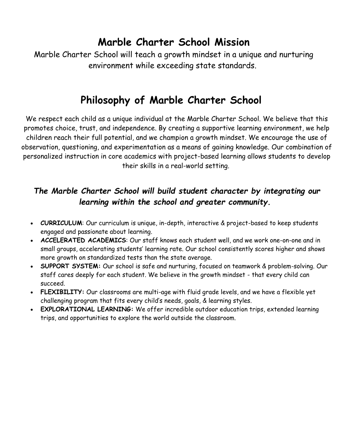### **Marble Charter School Mission**

Marble Charter School will teach a growth mindset in a unique and nurturing environment while exceeding state standards.

### **Philosophy of Marble Charter School**

We respect each child as a unique individual at the Marble Charter School. We believe that this promotes choice, trust, and independence. By creating a supportive learning environment, we help children reach their full potential, and we champion a growth mindset. We encourage the use of observation, questioning, and experimentation as a means of gaining knowledge. Our combination of personalized instruction in core academics with project-based learning allows students to develop their skills in a real-world setting.

### *The Marble Charter School will build student character by integrating our learning within the school and greater community.*

- **CURRICULUM**: Our curriculum is unique, in-depth, interactive & project-based to keep students engaged and passionate about learning.
- **ACCELERATED ACADEMICS**: Our staff knows each student well, and we work one-on-one and in small groups, accelerating students' learning rate. Our school consistently scores higher and shows more growth on standardized tests than the state average.
- **SUPPORT SYSTEM:** Our school is safe and nurturing, focused on teamwork & problem-solving. Our staff cares deeply for each student. We believe in the growth mindset - that every child can succeed.
- **FLEXIBILITY:** Our classrooms are multi-age with fluid grade levels, and we have a flexible yet challenging program that fits every child's needs, goals, & learning styles.
- **EXPLORATIONAL LEARNING:** We offer incredible outdoor education trips, extended learning trips, and opportunities to explore the world outside the classroom.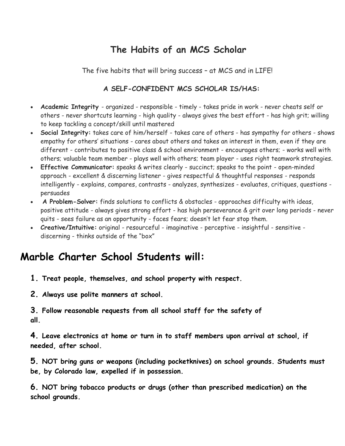### **The Habits of an MCS Scholar**

The five habits that will bring success – at MCS and in LIFE!

#### **A SELF-CONFIDENT MCS SCHOLAR IS/HAS:**

- **Academic Integrity**  organized responsible timely takes pride in work never cheats self or others - never shortcuts learning - high quality - always gives the best effort - has high grit; willing to keep tackling a concept/skill until mastered
- **Social Integrity:** takes care of him/herself takes care of others has sympathy for others shows empathy for others' situations - cares about others and takes an interest in them, even if they are different - contributes to positive class & school environment - encourages others; - works well with others; valuable team member - plays well with others; team player - uses right teamwork strategies.
- **Effective Communicator:** speaks & writes clearly succinct; speaks to the point open-minded approach - excellent & discerning listener - gives respectful & thoughtful responses - responds intelligently - explains, compares, contrasts - analyzes, synthesizes - evaluates, critiques, questions persuades
- **A Problem-Solver:** finds solutions to conflicts & obstacles approaches difficulty with ideas, positive attitude - always gives strong effort - has high perseverance & grit over long periods - never quits - sees failure as an opportunity - faces fears; doesn't let fear stop them.
- **Creative/Intuitive:** original resourceful imaginative perceptive insightful sensitive discerning - thinks outside of the "box"

### **Marble Charter School Students will:**

- **1. Treat people, themselves, and school property with respect.**
- **2. Always use polite manners at school.**

**3. Follow reasonable requests from all school staff for the safety of all.**

**4. Leave electronics at home or turn in to staff members upon arrival at school, if needed, after school.**

**5. NOT bring guns or weapons (including pocketknives) on school grounds. Students must be, by Colorado law, expelled if in possession.**

**6. NOT bring tobacco products or drugs (other than prescribed medication) on the school grounds.**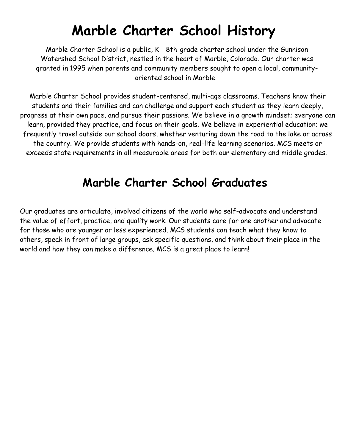# **Marble Charter School History**

Marble Charter School is a public, K - 8th-grade charter school under the Gunnison Watershed School District, nestled in the heart of Marble, Colorado. Our charter was granted in 1995 when parents and community members sought to open a local, communityoriented school in Marble.

Marble Charter School provides student-centered, multi-age classrooms. Teachers know their students and their families and can challenge and support each student as they learn deeply, progress at their own pace, and pursue their passions. We believe in a growth mindset; everyone can learn, provided they practice, and focus on their goals. We believe in experiential education; we frequently travel outside our school doors, whether venturing down the road to the lake or across the country. We provide students with hands-on, real-life learning scenarios. MCS meets or exceeds state requirements in all measurable areas for both our elementary and middle grades.

### **Marble Charter School Graduates**

Our graduates are articulate, involved citizens of the world who self-advocate and understand the value of effort, practice, and quality work. Our students care for one another and advocate for those who are younger or less experienced. MCS students can teach what they know to others, speak in front of large groups, ask specific questions, and think about their place in the world and how they can make a difference. MCS is a great place to learn!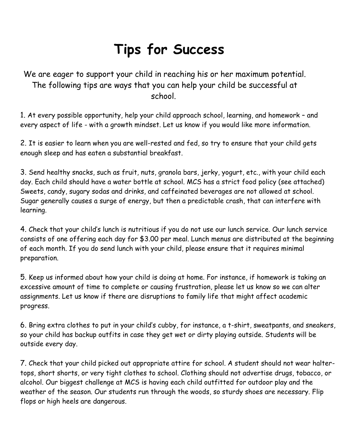# **Tips for Success**

We are eager to support your child in reaching his or her maximum potential. The following tips are ways that you can help your child be successful at school.

1. At every possible opportunity, help your child approach school, learning, and homework – and every aspect of life - with a growth mindset. Let us know if you would like more information.

2. It is easier to learn when you are well-rested and fed, so try to ensure that your child gets enough sleep and has eaten a substantial breakfast.

3. Send healthy snacks, such as fruit, nuts, granola bars, jerky, yogurt, etc., with your child each day. Each child should have a water bottle at school. MCS has a strict food policy (see attached) Sweets, candy, sugary sodas and drinks, and caffeinated beverages are not allowed at school. Sugar generally causes a surge of energy, but then a predictable crash, that can interfere with learning.

4. Check that your child's lunch is nutritious if you do not use our lunch service. Our lunch service consists of one offering each day for \$3.00 per meal. Lunch menus are distributed at the beginning of each month. If you do send lunch with your child, please ensure that it requires minimal preparation.

5. Keep us informed about how your child is doing at home. For instance, if homework is taking an excessive amount of time to complete or causing frustration, please let us know so we can alter assignments. Let us know if there are disruptions to family life that might affect academic progress.

6. Bring extra clothes to put in your child's cubby, for instance, a t-shirt, sweatpants, and sneakers, so your child has backup outfits in case they get wet or dirty playing outside. Students will be outside every day.

7. Check that your child picked out appropriate attire for school. A student should not wear haltertops, short shorts, or very tight clothes to school. Clothing should not advertise drugs, tobacco, or alcohol. Our biggest challenge at MCS is having each child outfitted for outdoor play and the weather of the season. Our students run through the woods, so sturdy shoes are necessary. Flip flops or high heels are dangerous.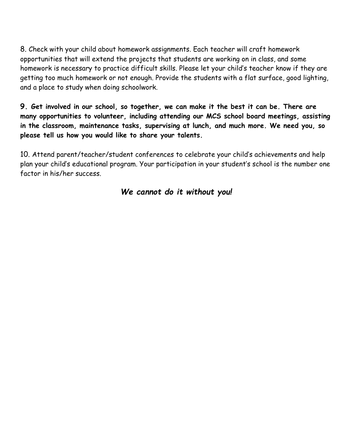8. Check with your child about homework assignments. Each teacher will craft homework opportunities that will extend the projects that students are working on in class, and some homework is necessary to practice difficult skills. Please let your child's teacher know if they are getting too much homework or not enough. Provide the students with a flat surface, good lighting, and a place to study when doing schoolwork.

**9. Get involved in our school, so together, we can make it the best it can be. There are many opportunities to volunteer, including attending our MCS school board meetings, assisting in the classroom, maintenance tasks, supervising at lunch, and much more. We need you, so please tell us how you would like to share your talents.**

10. Attend parent/teacher/student conferences to celebrate your child's achievements and help plan your child's educational program. Your participation in your student's school is the number one factor in his/her success.

#### *We cannot do it without you!*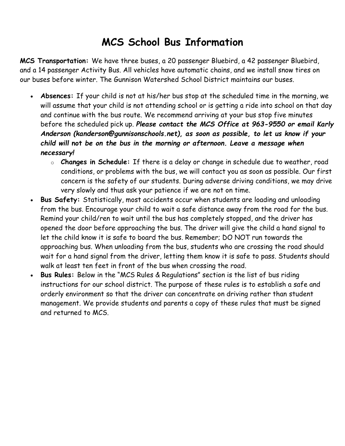### **MCS School Bus Information**

**MCS Transportation:** We have three buses, a 20 passenger Bluebird, a 42 passenger Bluebird, and a 14 passenger Activity Bus. All vehicles have automatic chains, and we install snow tires on our buses before winter. The Gunnison Watershed School District maintains our buses.

- **Absences:** If your child is not at his/her bus stop at the scheduled time in the morning, we will assume that your child is not attending school or is getting a ride into school on that day and continue with the bus route. We recommend arriving at your bus stop five minutes before the scheduled pick up. *Please contact the MCS Office at 963-9550 or email Karly Anderson (kanderson@gunnisonschools.net), as soon as possible, to let us know if your child will* **not** *be on the bus in the morning or afternoon. Leave a message when necessary!*
	- o **Changes in Schedule:** If there is a delay or change in schedule due to weather, road conditions, or problems with the bus, we will contact you as soon as possible. Our first concern is the safety of our students. During adverse driving conditions, we may drive very slowly and thus ask your patience if we are not on time.
- **Bus Safety:** Statistically, most accidents occur when students are loading and unloading from the bus. Encourage your child to wait a safe distance away from the road for the bus. Remind your child/ren to wait until the bus has completely stopped, and the driver has opened the door before approaching the bus. The driver will give the child a hand signal to let the child know it is safe to board the bus. Remember; DO NOT run towards the approaching bus. When unloading from the bus, students who are crossing the road should wait for a hand signal from the driver, letting them know it is safe to pass. Students should walk at least ten feet in front of the bus when crossing the road.
- **Bus Rules:** Below in the "MCS Rules & Regulations" section is the list of bus riding instructions for our school district. The purpose of these rules is to establish a safe and orderly environment so that the driver can concentrate on driving rather than student management. We provide students and parents a copy of these rules that must be signed and returned to MCS.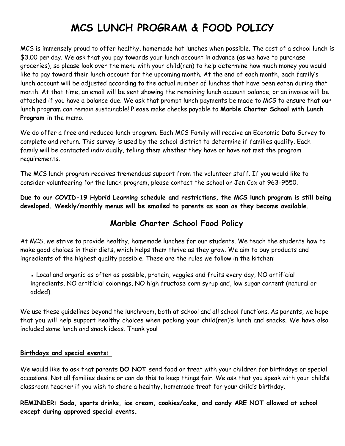### **MCS LUNCH PROGRAM & FOOD POLICY**

MCS is immensely proud to offer healthy, homemade hot lunches when possible. The cost of a school lunch is \$3.00 per day. We ask that you pay towards your lunch account in advance (as we have to purchase groceries), so please look over the menu with your child(ren) to help determine how much money you would like to pay toward their lunch account for the upcoming month. At the end of each month, each family's lunch account will be adjusted according to the actual number of lunches that have been eaten during that month. At that time, an email will be sent showing the remaining lunch account balance, or an invoice will be attached if you have a balance due. We ask that prompt lunch payments be made to MCS to ensure that our lunch program can remain sustainable! Please make checks payable to **Marble Charter School with Lunch Program** in the memo.

We do offer a free and reduced lunch program. Each MCS Family will receive an Economic Data Survey to complete and return. This survey is used by the school district to determine if families qualify. Each family will be contacted individually, telling them whether they have or have not met the program requirements.

The MCS lunch program receives tremendous support from the volunteer staff. If you would like to consider volunteering for the lunch program, please contact the school or Jen Cox at 963-9550.

**Due to our COVID-19 Hybrid Learning schedule and restrictions, the MCS lunch program is still being developed. Weekly/monthly menus will be emailed to parents as soon as they become available.** 

#### **Marble Charter School Food Policy**

At MCS, we strive to provide healthy, homemade lunches for our students. We teach the students how to make good choices in their diets, which helps them thrive as they grow. We aim to buy products and ingredients of the highest quality possible. These are the rules we follow in the kitchen:

. Local and organic as often as possible, protein, veggies and fruits every day, NO artificial ingredients, NO artificial colorings, NO high fructose corn syrup and, low sugar content (natural or added).

We use these guidelines beyond the lunchroom, both at school and all school functions. As parents, we hope that you will help support healthy choices when packing your child(ren)'s lunch and snacks. We have also included some lunch and snack ideas. Thank you!

#### **Birthdays and special events:**

We would like to ask that parents **DO NOT** send food or treat with your children for birthdays or special occasions. Not all families desire or can do this to keep things fair. We ask that you speak with your child's classroom teacher if you wish to share a healthy, homemade treat for your child's birthday.

**REMINDER: Soda, sports drinks, ice cream, cookies/cake, and candy ARE NOT allowed at school except during approved special events.**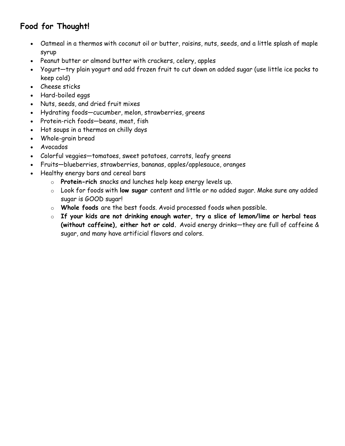### **Food for Thought!**

- Oatmeal in a thermos with coconut oil or butter, raisins, nuts, seeds, and a little splash of maple syrup
- Peanut butter or almond butter with crackers, celery, apples
- Yogurt—try plain yogurt and add frozen fruit to cut down on added sugar (use little ice packs to keep cold)
- Cheese sticks
- Hard-boiled eggs
- Nuts, seeds, and dried fruit mixes
- Hydrating foods—cucumber, melon, strawberries, greens
- Protein-rich foods—beans, meat, fish
- Hot soups in a thermos on chilly days
- Whole-grain bread
- Avocados
- Colorful veggies—tomatoes, sweet potatoes, carrots, leafy greens
- Fruits—blueberries, strawberries, bananas, apples/applesauce, oranges
- Healthy energy bars and cereal bars
	- o **Protein-rich** snacks and lunches help keep energy levels up.
	- o Look for foods with **low sugar** content and little or no added sugar. Make sure any added sugar is GOOD sugar!
	- o **Whole foods** are the best foods. Avoid processed foods when possible.
	- o **If your kids are not drinking enough water, try a slice of lemon/lime or herbal teas (without caffeine), either hot or cold.** Avoid energy drinks—they are full of caffeine & sugar, and many have artificial flavors and colors.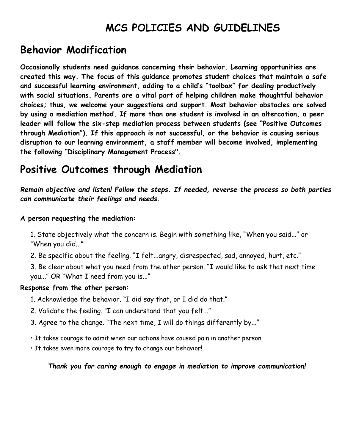### **MCS POLICIES AND GUIDELINES**

### **Behavior Modification**

**Occasionally students need guidance concerning their behavior. Learning opportunities are created this way. The focus of this guidance promotes student choices that maintain a safe and successful learning environment, adding to a child's "toolbox" for dealing productively with social situations. Parents are a vital part of helping children make thoughtful behavior choices; thus, we welcome your suggestions and support. Most behavior obstacles are solved by using a mediation method. If more than one student is involved in an altercation, a peer leader will follow the six-step mediation process between students (see "Positive Outcomes through Mediation"). If this approach is not successful, or the behavior is causing serious disruption to our learning environment, a staff member will become involved, implementing the following "Disciplinary Management Process".**

### **Positive Outcomes through Mediation**

*Remain objective and listen! Follow the steps. If needed, reverse the process so both parties can communicate their feelings and needs.*

#### **A person requesting the mediation:**

1. State objectively what the concern is. Begin with something like, "When you said..." or "When you did..."

2. Be specific about the feeling. "I felt...angry, disrespected, sad, annoyed, hurt, etc."

3. Be clear about what you need from the other person. "I would like to ask that next time you..." OR "What I need from you is..."

#### **Response from the other person:**

- 1. Acknowledge the behavior. "I did say that, or I did do that."
- 2. Validate the feeling. "I can understand that you felt..."
- 3. Agree to the change. "The next time, I will do things differently by..."
- It takes courage to admit when our actions have caused pain in another person.
- It takes even more courage to try to change our behavior!

*Thank you for caring enough to engage in mediation to improve communication!*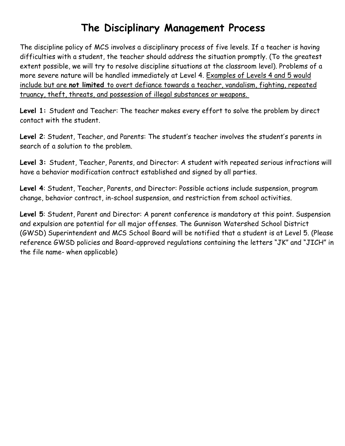### **The Disciplinary Management Process**

The discipline policy of MCS involves a disciplinary process of five levels. If a teacher is having difficulties with a student, the teacher should address the situation promptly. (To the greatest extent possible, we will try to resolve discipline situations at the classroom level). Problems of a more severe nature will be handled immediately at Level 4. Examples of Levels 4 and 5 would include but are **not limited** to overt defiance towards a teacher, vandalism, fighting, repeated truancy, theft, threats, and possession of illegal substances or weapons.

Level 1: Student and Teacher: The teacher makes every effort to solve the problem by direct contact with the student.

**Level 2**: Student, Teacher, and Parents: The student's teacher involves the student's parents in search of a solution to the problem.

**Level 3:** Student, Teacher, Parents, and Director: A student with repeated serious infractions will have a behavior modification contract established and signed by all parties.

**Level 4**: Student, Teacher, Parents, and Director: Possible actions include suspension, program change, behavior contract, in-school suspension, and restriction from school activities.

**Level 5**: Student, Parent and Director: A parent conference is mandatory at this point. Suspension and expulsion are potential for all major offenses. The Gunnison Watershed School District (GWSD) Superintendent and MCS School Board will be notified that a student is at Level 5. (Please reference GWSD policies and Board-approved regulations containing the letters "JK" and "JICH" in the file name- when applicable)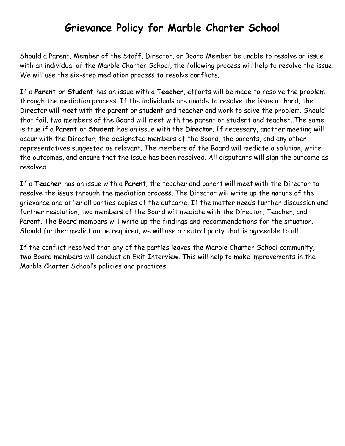### **Grievance Policy for Marble Charter School**

Should a Parent, Member of the Staff, Director, or Board Member be unable to resolve an issue with an individual of the Marble Charter School, the following process will help to resolve the issue. We will use the six-step mediation process to resolve conflicts.

If a **Parent** or **Student** has an issue with a **Teacher**, efforts will be made to resolve the problem through the mediation process. If the individuals are unable to resolve the issue at hand, the Director will meet with the parent or student and teacher and work to solve the problem. Should that fail, two members of the Board will meet with the parent or student and teacher. The same is true if a **Parent** or **Student** has an issue with the **Director**. If necessary, another meeting will occur with the Director, the designated members of the Board, the parents, and any other representatives suggested as relevant. The members of the Board will mediate a solution, write the outcomes, and ensure that the issue has been resolved. All disputants will sign the outcome as resolved.

If a **Teacher** has an issue with a **Parent**, the teacher and parent will meet with the Director to resolve the issue through the mediation process. The Director will write up the nature of the grievance and offer all parties copies of the outcome. If the matter needs further discussion and further resolution, two members of the Board will mediate with the Director, Teacher, and Parent. The Board members will write up the findings and recommendations for the situation. Should further mediation be required, we will use a neutral party that is agreeable to all.

If the conflict resolved that any of the parties leaves the Marble Charter School community, two Board members will conduct an Exit Interview. This will help to make improvements in the Marble Charter School's policies and practices.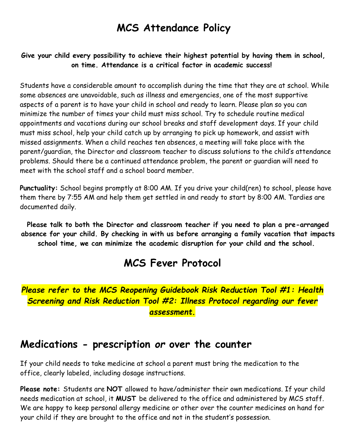### **MCS Attendance Policy**

#### **Give your child every possibility to achieve their highest potential by having them in school, on time. Attendance is a critical factor in academic success!**

Students have a considerable amount to accomplish during the time that they are at school. While some absences are unavoidable, such as illness and emergencies, one of the most supportive aspects of a parent is to have your child in school and ready to learn. Please plan so you can minimize the number of times your child must miss school. Try to schedule routine medical appointments and vacations during our school breaks and staff development days. If your child must miss school, help your child catch up by arranging to pick up homework, and assist with missed assignments. When a child reaches ten absences, a meeting will take place with the parent/guardian, the Director and classroom teacher to discuss solutions to the child's attendance problems. Should there be a continued attendance problem, the parent or guardian will need to meet with the school staff and a school board member.

**Punctuality:** School begins promptly at 8:00 AM. If you drive your child(ren) to school, please have them there by 7:55 AM and help them get settled in and ready to start by 8:00 AM. Tardies are documented daily.

**Please talk to both the Director and classroom teacher if you need to plan a pre-arranged absence for your child. By checking in with us before arranging a family vacation that impacts school time, we can minimize the academic disruption for your child and the school.**

### **MCS Fever Protocol**

*Please refer to the MCS Reopening Guidebook Risk Reduction Tool #1: Health Screening and Risk Reduction Tool #2: Illness Protocol regarding our fever assessment.*

### **Medications - prescription** *or* **over the counter**

If your child needs to take medicine at school a parent must bring the medication to the office, clearly labeled, including dosage instructions.

**Please note:** Students are **NOT** allowed to have/administer their own medications. If your child needs medication at school, it **MUST** be delivered to the office and administered by MCS staff. We are happy to keep personal allergy medicine or other over the counter medicines on hand for your child if they are brought to the office and not in the student's possession.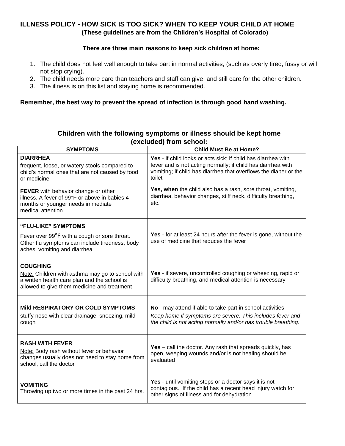#### **ILLNESS POLICY - HOW SICK IS TOO SICK? WHEN TO KEEP YOUR CHILD AT HOME (These guidelines are from the Children's Hospital of Colorado)**

#### **There are three main reasons to keep sick children at home:**

- 1. The child does not feel well enough to take part in normal activities, (such as overly tired, fussy or will not stop crying).
- 2. The child needs more care than teachers and staff can give, and still care for the other children.
- 3. The illness is on this list and staying home is recommended.

#### **Remember, the best way to prevent the spread of infection is through good hand washing.**

#### **Children with the following symptoms or illness should be kept home (excluded) from school:**

| <b>SYMPTOMS</b>                                                                                                                                 | <b>Child Must Be at Home?</b>                                                                                                                                                                               |
|-------------------------------------------------------------------------------------------------------------------------------------------------|-------------------------------------------------------------------------------------------------------------------------------------------------------------------------------------------------------------|
| <b>DIARRHEA</b><br>frequent, loose, or watery stools compared to<br>child's normal ones that are not caused by food<br>or medicine              | Yes - if child looks or acts sick; if child has diarrhea with<br>fever and is not acting normally; if child has diarrhea with<br>vomiting; if child has diarrhea that overflows the diaper or the<br>toilet |
| FEVER with behavior change or other<br>illness. A fever of 99°F or above in babies 4<br>months or younger needs immediate<br>medical attention. | Yes, when the child also has a rash, sore throat, vomiting,<br>diarrhea, behavior changes, stiff neck, difficulty breathing,<br>etc.                                                                        |
| "FLU-LIKE" SYMPTOMS                                                                                                                             |                                                                                                                                                                                                             |
| Fever over 99°F with a cough or sore throat.<br>Other flu symptoms can include tiredness, body<br>aches, vomiting and diarrhea                  | Yes - for at least 24 hours after the fever is gone, without the<br>use of medicine that reduces the fever                                                                                                  |
| <b>COUGHING</b>                                                                                                                                 |                                                                                                                                                                                                             |
| Note: Children with asthma may go to school with<br>a written health care plan and the school is<br>allowed to give them medicine and treatment | Yes - if severe, uncontrolled coughing or wheezing, rapid or<br>difficulty breathing, and medical attention is necessary                                                                                    |
|                                                                                                                                                 |                                                                                                                                                                                                             |
| Mild RESPIRATORY OR COLD SYMPTOMS<br>stuffy nose with clear drainage, sneezing, mild<br>cough                                                   | No - may attend if able to take part in school activities<br>Keep home if symptoms are severe. This includes fever and<br>the child is not acting normally and/or has trouble breathing.                    |
| <b>RASH WITH FEVER</b>                                                                                                                          |                                                                                                                                                                                                             |
| Note: Body rash without fever or behavior<br>changes usually does not need to stay home from<br>school, call the doctor                         | Yes $-$ call the doctor. Any rash that spreads quickly, has<br>open, weeping wounds and/or is not healing should be<br>evaluated                                                                            |
|                                                                                                                                                 | Yes - until vomiting stops or a doctor says it is not                                                                                                                                                       |
| <b>VOMITING</b><br>Throwing up two or more times in the past 24 hrs.                                                                            | contagious. If the child has a recent head injury watch for<br>other signs of illness and for dehydration                                                                                                   |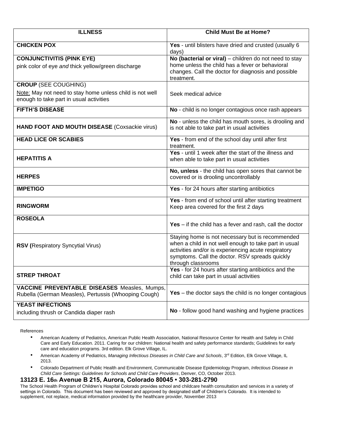| <b>ILLNESS</b>                                                                                                                     | <b>Child Must Be at Home?</b>                                                                                                                                                                                                            |
|------------------------------------------------------------------------------------------------------------------------------------|------------------------------------------------------------------------------------------------------------------------------------------------------------------------------------------------------------------------------------------|
| <b>CHICKEN POX</b>                                                                                                                 | Yes - until blisters have dried and crusted (usually 6<br>days)                                                                                                                                                                          |
| <b>CONJUNCTIVITIS (PINK EYE)</b><br>pink color of eye and thick yellow/green discharge                                             | No (bacterial or viral) - children do not need to stay<br>home unless the child has a fever or behavioral<br>changes. Call the doctor for diagnosis and possible<br>treatment.                                                           |
| <b>CROUP (SEE COUGHING)</b><br>Note: May not need to stay home unless child is not well<br>enough to take part in usual activities | Seek medical advice                                                                                                                                                                                                                      |
| <b>FIFTH'S DISEASE</b>                                                                                                             | No - child is no longer contagious once rash appears                                                                                                                                                                                     |
| HAND FOOT AND MOUTH DISEASE (Coxsackie virus)                                                                                      | No - unless the child has mouth sores, is drooling and<br>is not able to take part in usual activities                                                                                                                                   |
| <b>HEAD LICE OR SCABIES</b>                                                                                                        | Yes - from end of the school day until after first<br>treatment.                                                                                                                                                                         |
| <b>HEPATITIS A</b>                                                                                                                 | Yes - until 1 week after the start of the illness and<br>when able to take part in usual activities                                                                                                                                      |
| <b>HERPES</b>                                                                                                                      | No, unless - the child has open sores that cannot be<br>covered or is drooling uncontrollably                                                                                                                                            |
| <b>IMPETIGO</b>                                                                                                                    | Yes - for 24 hours after starting antibiotics                                                                                                                                                                                            |
| <b>RINGWORM</b>                                                                                                                    | Yes - from end of school until after starting treatment<br>Keep area covered for the first 2 days                                                                                                                                        |
| <b>ROSEOLA</b>                                                                                                                     | Yes $-$ if the child has a fever and rash, call the doctor                                                                                                                                                                               |
| <b>RSV (Respiratory Syncytial Virus)</b>                                                                                           | Staying home is not necessary but is recommended<br>when a child in not well enough to take part in usual<br>activities and/or is experiencing acute respiratory<br>symptoms. Call the doctor. RSV spreads quickly<br>through classrooms |
| <b>STREP THROAT</b>                                                                                                                | Yes - for 24 hours after starting antibiotics and the<br>child can take part in usual activities                                                                                                                                         |
| <b>VACCINE PREVENTABLE DISEASES Measles, Mumps,</b><br>Rubella (German Measles), Pertussis (Whooping Cough)                        | <b>Yes</b> – the doctor says the child is no longer contagious                                                                                                                                                                           |
| <b>YEAST INFECTIONS</b><br>including thrush or Candida diaper rash                                                                 | No - follow good hand washing and hygiene practices                                                                                                                                                                                      |

References

- American Academy of Pediatrics, American Public Health Association, National Resource Center for Health and Safety in Child Care and Early Education. 2011. Caring for our children: National health and safety performance standards; Guidelines for early care and education programs. 3rd edition. Elk Grove Village, IL.
- American Academy of Pediatrics, Managing Infectious Diseases in Child Care and Schools, 3<sup>rd</sup> Edition, Elk Grove Village, IL 2013.
- Colorado Department of Public Health and Environment, Communicable Disease Epidemiology Program, *Infectious Disease in Child Care Settings: Guidelines for Schools and Child Care Providers*, Denver, CO, October 2013.

#### **13123 E. 16th Avenue B 215, Aurora, Colorado 80045 • 303-281-2790**

The School Health Program of Children's Hospital Colorado provides school and childcare health consultation and services in a variety of settings in Colorado. This document has been reviewed and approved by designated staff of Children's Colorado. It is intended to supplement, not replace, medical information provided by the healthcare provider, November 2013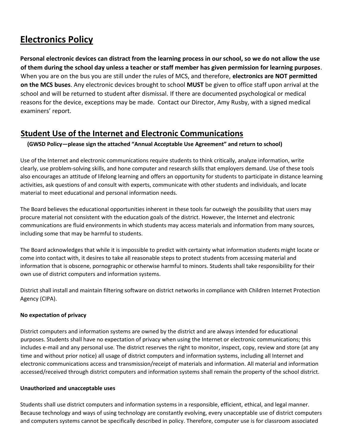### **Electronics Policy**

**Personal electronic devices can distract from the learning process in our school, so we do not allow the use of them during the school day unless a teacher or staff member has given permission for learning purposes**. When you are on the bus you are still under the rules of MCS, and therefore, **electronics are NOT permitted on the MCS buses**. Any electronic devices brought to school **MUST** be given to office staff upon arrival at the school and will be returned to student after dismissal. If there are documented psychological or medical reasons for the device, exceptions may be made. Contact our Director, Amy Rusby, with a signed medical examiners' report.

#### **Student Use of the Internet and Electronic Communications**

#### **(GWSD Policy—please sign the attached "Annual Acceptable Use Agreement" and return to school)**

Use of the Internet and electronic communications require students to think critically, analyze information, write clearly, use problem-solving skills, and hone computer and research skills that employers demand. Use of these tools also encourages an attitude of lifelong learning and offers an opportunity for students to participate in distance learning activities, ask questions of and consult with experts, communicate with other students and individuals, and locate material to meet educational and personal information needs.

The Board believes the educational opportunities inherent in these tools far outweigh the possibility that users may procure material not consistent with the education goals of the district. However, the Internet and electronic communications are fluid environments in which students may access materials and information from many sources, including some that may be harmful to students.

The Board acknowledges that while it is impossible to predict with certainty what information students might locate or come into contact with, it desires to take all reasonable steps to protect students from accessing material and information that is obscene, pornographic or otherwise harmful to minors. Students shall take responsibility for their own use of district computers and information systems.

District shall install and maintain filtering software on district networks in compliance with Children Internet Protection Agency (CIPA).

#### **No expectation of privacy**

District computers and information systems are owned by the district and are always intended for educational purposes. Students shall have no expectation of privacy when using the Internet or electronic communications; this includes e-mail and any personal use. The district reserves the right to monitor, inspect, copy, review and store (at any time and without prior notice) all usage of district computers and information systems, including all Internet and electronic communications access and transmission/receipt of materials and information. All material and information accessed/received through district computers and information systems shall remain the property of the school district.

#### **Unauthorized and unacceptable uses**

Students shall use district computers and information systems in a responsible, efficient, ethical, and legal manner. Because technology and ways of using technology are constantly evolving, every unacceptable use of district computers and computers systems cannot be specifically described in policy. Therefore, computer use is for classroom associated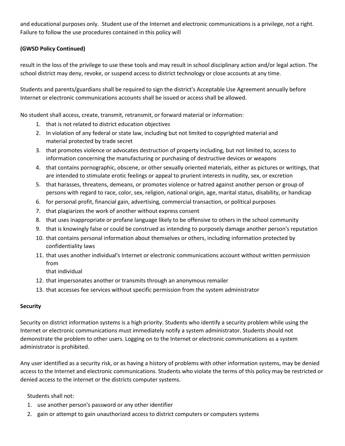and educational purposes only. Student use of the Internet and electronic communications is a privilege, not a right. Failure to follow the use procedures contained in this policy will

#### **(GWSD Policy Continued)**

result in the loss of the privilege to use these tools and may result in school disciplinary action and/or legal action. The school district may deny, revoke, or suspend access to district technology or close accounts at any time.

Students and parents/guardians shall be required to sign the district's Acceptable Use Agreement annually before Internet or electronic communications accounts shall be issued or access shall be allowed.

No student shall access, create, transmit, retransmit, or forward material or information:

- 1. that is not related to district education objectives
- 2. In violation of any federal or state law, including but not limited to copyrighted material and material protected by trade secret
- 3. that promotes violence or advocates destruction of property including, but not limited to, access to information concerning the manufacturing or purchasing of destructive devices or weapons
- 4. that contains pornographic, obscene, or other sexually oriented materials, either as pictures or writings, that are intended to stimulate erotic feelings or appeal to prurient interests in nudity, sex, or excretion
- 5. that harasses, threatens, demeans, or promotes violence or hatred against another person or group of persons with regard to race, color, sex, religion, national origin, age, marital status, disability, or handicap
- 6. for personal profit, financial gain, advertising, commercial transaction, or political purposes
- 7. that plagiarizes the work of another without express consent
- 8. that uses inappropriate or profane language likely to be offensive to others in the school community
- 9. that is knowingly false or could be construed as intending to purposely damage another person's reputation
- 10. that contains personal information about themselves or others, including information protected by confidentiality laws
- 11. that uses another individual's Internet or electronic communications account without written permission from

that individual

- 12. that impersonates another or transmits through an anonymous remailer
- 13. that accesses fee services without specific permission from the system administrator

#### **Security**

Security on district information systems is a high priority. Students who identify a security problem while using the Internet or electronic communications must immediately notify a system administrator. Students should not demonstrate the problem to other users. Logging on to the Internet or electronic communications as a system administrator is prohibited.

Any user identified as a security risk, or as having a history of problems with other information systems, may be denied access to the Internet and electronic communications. Students who violate the terms of this policy may be restricted or denied access to the internet or the districts computer systems.

Students shall not:

- 1. use another person's password or any other identifier
- 2. gain or attempt to gain unauthorized access to district computers or computers systems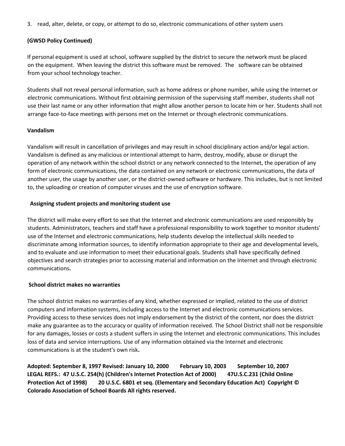3. read, alter, delete, or copy, or attempt to do so, electronic communications of other system users

#### **(GWSD Policy Continued)**

If personal equipment is used at school, software supplied by the district to secure the network must be placed on the equipment. When leaving the district this software must be removed. The software can be obtained from your school technology teacher.

Students shall not reveal personal information, such as home address or phone number, while using the Internet or electronic communications. Without first obtaining permission of the supervising staff member, students shall not use their last name or any other information that might allow another person to locate him or her. Students shall not arrange face-to-face meetings with persons met on the Internet or through electronic communications.

#### **Vandalism**

Vandalism will result in cancellation of privileges and may result in school disciplinary action and/or legal action. Vandalism is defined as any malicious or intentional attempt to harm, destroy, modify, abuse or disrupt the operation of any network within the school district or any network connected to the Internet, the operation of any form of electronic communications, the data contained on any network or electronic communications, the data of another user, the usage by another user, or the district-owned software or hardware. This includes, but is not limited to, the uploading or creation of computer viruses and the use of encryption software.

#### **Assigning student projects and monitoring student use**

The district will make every effort to see that the Internet and electronic communications are used responsibly by students. Administrators, teachers and staff have a professional responsibility to work together to monitor students' use of the Internet and electronic communications, help students develop the intellectual skills needed to discriminate among information sources, to identify information appropriate to their age and developmental levels, and to evaluate and use information to meet their educational goals. Students shall have specifically defined objectives and search strategies prior to accessing material and information on the Internet and through electronic communications**.** 

#### **School district makes no warranties**

The school district makes no warranties of any kind, whether expressed or implied, related to the use of district computers and information systems, including access to the Internet and electronic communications services. Providing access to these services does not imply endorsement by the district of the content, nor does the district make any guarantee as to the accuracy or quality of information received. The School District shall not be responsible for any damages, losses or costs a student suffers in using the Internet and electronic communications. This includes loss of data and service interruptions. Use of any information obtained via the Internet and electronic communications is at the student's own risk**.** 

**Adopted: September 8, 1997 Revised: January 10, 2000 February 10, 2003 September 10, 2007 LEGAL REFS.: 47 U.S.C. 254(h) (Children's Internet Protection Act of 2000) 47U.S.C.231 (Child Online Protection Act of 1998) 20 U.S.C. 6801 et seq. (Elementary and Secondary Education Act) Copyright © Colorado Association of School Boards All rights reserved.**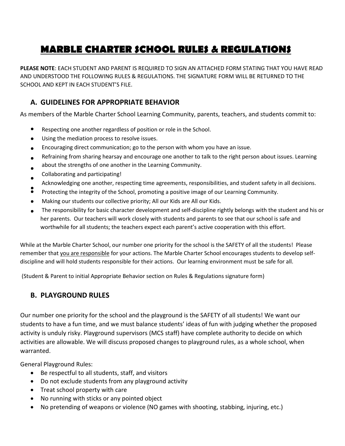### **MARBLE CHARTER SCHOOL RULES & REGULATIONS**

**PLEASE NOTE**: EACH STUDENT AND PARENT IS REQUIRED TO SIGN AN ATTACHED FORM STATING THAT YOU HAVE READ AND UNDERSTOOD THE FOLLOWING RULES & REGULATIONS. THE SIGNATURE FORM WILL BE RETURNED TO THE SCHOOL AND KEPT IN EACH STUDENT'S FILE.

#### **A. GUIDELINES FOR APPROPRIATE BEHAVIOR**

As members of the Marble Charter School Learning Community, parents, teachers, and students commit to:

- Respecting one another regardless of position or role in the School.
- Using the mediation process to resolve issues.
- Encouraging direct communication; go to the person with whom you have an issue.
- Refraining from sharing hearsay and encourage one another to talk to the right person about issues. Learning
- about the strengths of one another in the Learning Community.
- Collaborating and participating!
- Acknowledging one another, respecting time agreements, responsibilities, and student safety in all decisions.
- Protecting the integrity of the School, promoting a positive image of our Learning Community.
- Making our students our collective priority; All our Kids are All our Kids.
- The responsibility for basic character development and self-discipline rightly belongs with the student and his or her parents. Our teachers will work closely with students and parents to see that our school is safe and worthwhile for all students; the teachers expect each parent's active cooperation with this effort.

While at the Marble Charter School, our number one priority for the school is the SAFETY of all the students! Please remember that you are responsible for your actions. The Marble Charter School encourages students to develop selfdiscipline and will hold students responsible for their actions. Our learning environment must be safe for all.

(Student & Parent to initial Appropriate Behavior section on Rules & Regulations signature form)

#### **B. PLAYGROUND RULES**

Our number one priority for the school and the playground is the SAFETY of all students! We want our students to have a fun time, and we must balance students' ideas of fun with judging whether the proposed activity is unduly risky. Playground supervisors (MCS staff) have complete authority to decide on which activities are allowable. We will discuss proposed changes to playground rules, as a whole school, when warranted.

General Playground Rules:

- Be respectful to all students, staff, and visitors
- Do not exclude students from any playground activity
- Treat school property with care
- No running with sticks or any pointed object
- No pretending of weapons or violence (NO games with shooting, stabbing, injuring, etc.)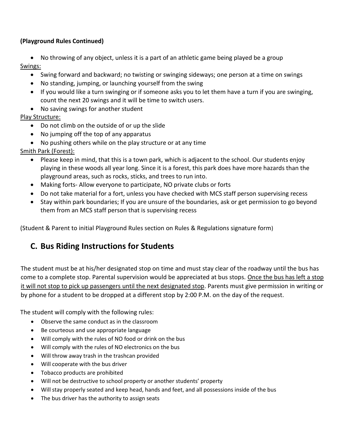#### **(Playground Rules Continued)**

• No throwing of any object, unless it is a part of an athletic game being played be a group Swings:

- Swing forward and backward; no twisting or swinging sideways; one person at a time on swings
- No standing, jumping, or launching yourself from the swing
- If you would like a turn swinging or if someone asks you to let them have a turn if you are swinging, count the next 20 swings and it will be time to switch users.
- No saving swings for another student

#### Play Structure:

- Do not climb on the outside of or up the slide
- No jumping off the top of any apparatus
- No pushing others while on the play structure or at any time

#### Smith Park (Forest):

- Please keep in mind, that this is a town park, which is adjacent to the school. Our students enjoy playing in these woods all year long. Since it is a forest, this park does have more hazards than the playground areas, such as rocks, sticks, and trees to run into.
- Making forts- Allow everyone to participate, NO private clubs or forts
- Do not take material for a fort, unless you have checked with MCS staff person supervising recess
- Stay within park boundaries; If you are unsure of the boundaries, ask or get permission to go beyond them from an MCS staff person that is supervising recess

(Student & Parent to initial Playground Rules section on Rules & Regulations signature form)

#### **C. Bus Riding Instructions for Students**

The student must be at his/her designated stop on time and must stay clear of the roadway until the bus has come to a complete stop. Parental supervision would be appreciated at bus stops. Once the bus has left a stop it will not stop to pick up passengers until the next designated stop. Parents must give permission in writing or by phone for a student to be dropped at a different stop by 2:00 P.M. on the day of the request.

The student will comply with the following rules:

- Observe the same conduct as in the classroom
- Be courteous and use appropriate language
- Will comply with the rules of NO food or drink on the bus
- Will comply with the rules of NO electronics on the bus
- Will throw away trash in the trashcan provided
- Will cooperate with the bus driver
- Tobacco products are prohibited
- Will not be destructive to school property or another students' property
- Will stay properly seated and keep head, hands and feet, and all possessions inside of the bus
- The bus driver has the authority to assign seats